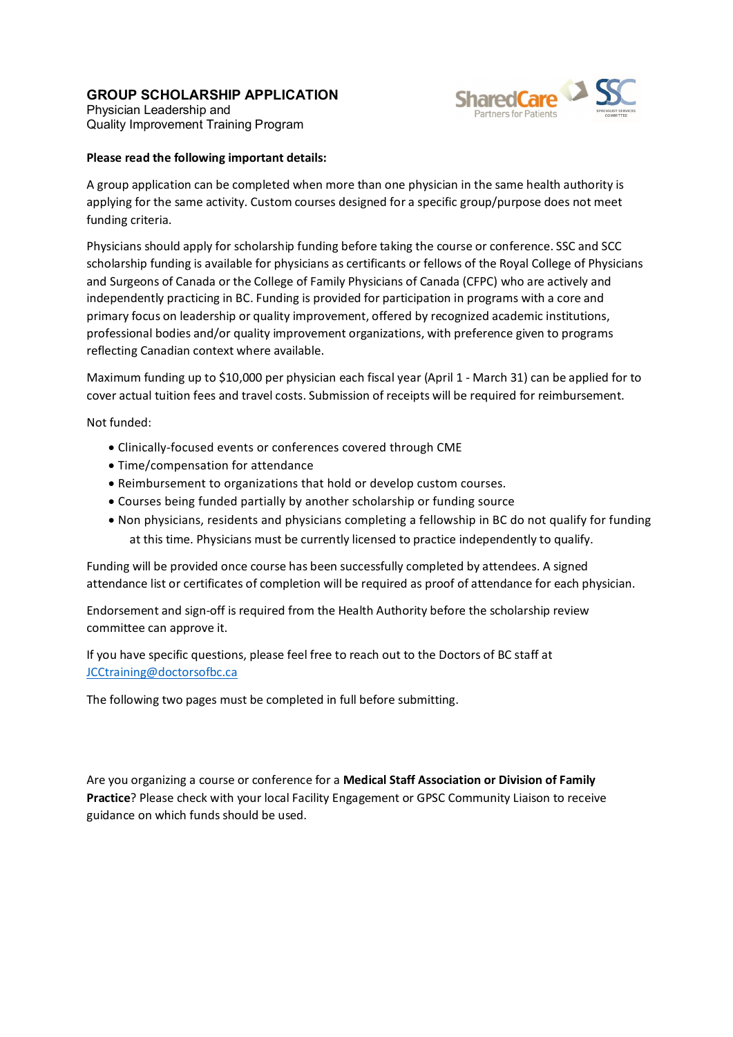## **GROUP SCHOLARSHIP APPLICATION**



Physician Leadership and Quality Improvement Training Program

## **Please read the following important details:**

A group application can be completed when more than one physician in the same health authority is applying for the same activity. Custom courses designed for a specific group/purpose does not meet funding criteria.

Physicians should apply for scholarship funding before taking the course or conference. SSC and SCC scholarship funding is available for physicians as certificants or fellows of the Royal College of Physicians and Surgeons of Canada or the College of Family Physicians of Canada (CFPC) who are actively and independently practicing in BC. Funding is provided for participation in programs with a core and primary focus on leadership or quality improvement, offered by recognized academic institutions, professional bodies and/or quality improvement organizations, with preference given to programs reflecting Canadian context where available.

Maximum funding up to \$10,000 per physician each fiscal year (April 1 - March 31) can be applied for to cover actual tuition fees and travel costs. Submission of receipts will be required for reimbursement.

Not funded:

- ∂ Clinically-focused events or conferences covered through CME
- ∂ Time/compensation for attendance
- ∂ Reimbursement to organizations that hold or develop custom courses.
- ∂ Courses being funded partially by another scholarship or funding source
- ∂ Non physicians, residents and physicians completing a fellowship in BC do not qualify for funding at this time. Physicians must be currently licensed to practice independently to qualify.

Funding will be provided once course has been successfully completed by attendees. A signed attendance list or certificates of completion will be required as proof of attendance for each physician.

Endorsement and sign-off is required from the Health Authority before the scholarship review committee can approve it.

If you have specific questions, please feel free to reach out to the Doctors of BC staff at JCCtraining@doctorsofbc.ca

The following two pages must be completed in full before submitting.

Are you organizing a course or conference for a **Medical Staff Association or Division of Family Practice**? Please check with your local Facility Engagement or GPSC Community Liaison to receive guidance on which funds should be used.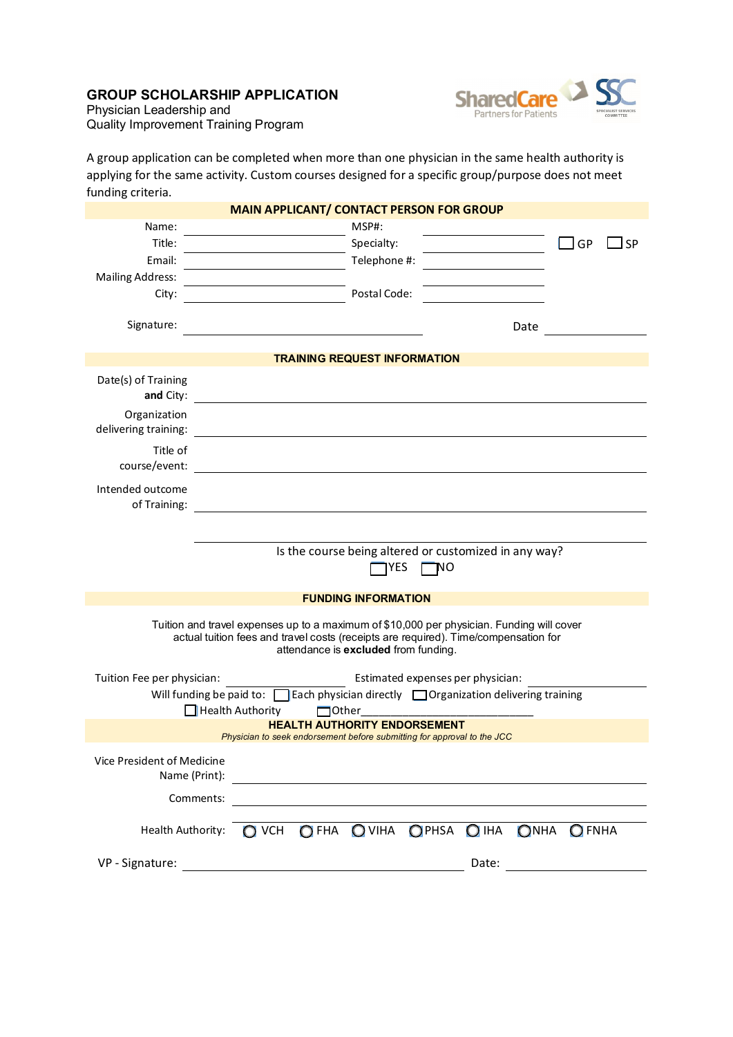## **GROUP SCHOLARSHIP APPLICATION**



Physician Leadership and Quality Improvement Training Program

A group application can be completed when more than one physician in the same health authority is applying for the same activity. Custom courses designed for a specific group/purpose does not meet funding criteria.

|                                                                                                                                                                                                                          |                                                                                                                      | <b>MAIN APPLICANT/ CONTACT PERSON FOR GROUP</b>                                                                       |       |              |
|--------------------------------------------------------------------------------------------------------------------------------------------------------------------------------------------------------------------------|----------------------------------------------------------------------------------------------------------------------|-----------------------------------------------------------------------------------------------------------------------|-------|--------------|
| Name:                                                                                                                                                                                                                    |                                                                                                                      | MSP#:                                                                                                                 |       |              |
| Title:                                                                                                                                                                                                                   |                                                                                                                      | Specialty:                                                                                                            |       | 」GP<br>_l SP |
| Email:                                                                                                                                                                                                                   |                                                                                                                      | Telephone #:                                                                                                          |       |              |
| <b>Mailing Address:</b>                                                                                                                                                                                                  |                                                                                                                      |                                                                                                                       |       |              |
| City:                                                                                                                                                                                                                    |                                                                                                                      | Postal Code:                                                                                                          |       |              |
| Signature:                                                                                                                                                                                                               |                                                                                                                      |                                                                                                                       | Date  |              |
|                                                                                                                                                                                                                          |                                                                                                                      | <b>TRAINING REQUEST INFORMATION</b>                                                                                   |       |              |
| Date(s) of Training<br>and City:                                                                                                                                                                                         |                                                                                                                      |                                                                                                                       |       |              |
| Organization<br>delivering training:                                                                                                                                                                                     |                                                                                                                      |                                                                                                                       |       |              |
| Title of<br>course/event:                                                                                                                                                                                                |                                                                                                                      |                                                                                                                       |       |              |
| Intended outcome<br>of Training:                                                                                                                                                                                         |                                                                                                                      |                                                                                                                       |       |              |
|                                                                                                                                                                                                                          |                                                                                                                      |                                                                                                                       |       |              |
|                                                                                                                                                                                                                          |                                                                                                                      |                                                                                                                       |       |              |
|                                                                                                                                                                                                                          |                                                                                                                      | Is the course being altered or customized in any way?<br>YES<br>'NΟ                                                   |       |              |
|                                                                                                                                                                                                                          |                                                                                                                      | <b>FUNDING INFORMATION</b>                                                                                            |       |              |
| Tuition and travel expenses up to a maximum of \$10,000 per physician. Funding will cover<br>actual tuition fees and travel costs (receipts are required). Time/compensation for<br>attendance is excluded from funding. |                                                                                                                      |                                                                                                                       |       |              |
| Tuition Fee per physician:                                                                                                                                                                                               |                                                                                                                      | Estimated expenses per physician:                                                                                     |       |              |
|                                                                                                                                                                                                                          |                                                                                                                      | Will funding be paid to: $\Box$ Each physician directly $\Box$ Organization delivering training                       |       |              |
|                                                                                                                                                                                                                          | $\Box$ Health Authority                                                                                              | $\Box$ Other                                                                                                          |       |              |
|                                                                                                                                                                                                                          |                                                                                                                      | <b>HEALTH AUTHORITY ENDORSEMENT</b><br>Physician to seek endorsement before submitting for approval to the JCC        |       |              |
| Vice President of Medicine<br>Name (Print):                                                                                                                                                                              |                                                                                                                      |                                                                                                                       |       |              |
| Comments:                                                                                                                                                                                                                |                                                                                                                      | <u>and the state of the state of the state of the state of the state of the state of the state of the state of th</u> |       |              |
|                                                                                                                                                                                                                          |                                                                                                                      | Health Authority: O VCH OFHA OVIHA OPHSA O IHA                                                                        |       | ONHA OFNHA   |
| VP - Signature:                                                                                                                                                                                                          | <u> 1980 - Johann Barn, mars ann an t-Amhain Aonaich an t-Aonaich an t-Aonaich ann an t-Aonaich ann an t-Aonaich</u> |                                                                                                                       | Date: |              |
|                                                                                                                                                                                                                          |                                                                                                                      |                                                                                                                       |       |              |